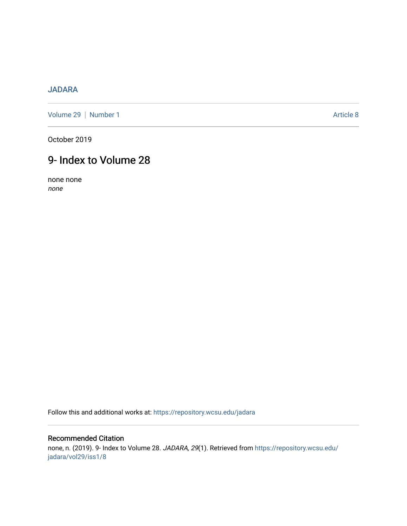# [JADARA](https://repository.wcsu.edu/jadara)

[Volume 29](https://repository.wcsu.edu/jadara/vol29) | [Number 1](https://repository.wcsu.edu/jadara/vol29/iss1) Article 8

October 2019

# 9- Index to Volume 28

none none none

Follow this and additional works at: [https://repository.wcsu.edu/jadara](https://repository.wcsu.edu/jadara?utm_source=repository.wcsu.edu%2Fjadara%2Fvol29%2Fiss1%2F8&utm_medium=PDF&utm_campaign=PDFCoverPages)

# Recommended Citation

none, n. (2019). 9- Index to Volume 28. JADARA, 29(1). Retrieved from [https://repository.wcsu.edu/](https://repository.wcsu.edu/jadara/vol29/iss1/8?utm_source=repository.wcsu.edu%2Fjadara%2Fvol29%2Fiss1%2F8&utm_medium=PDF&utm_campaign=PDFCoverPages) [jadara/vol29/iss1/8](https://repository.wcsu.edu/jadara/vol29/iss1/8?utm_source=repository.wcsu.edu%2Fjadara%2Fvol29%2Fiss1%2F8&utm_medium=PDF&utm_campaign=PDFCoverPages)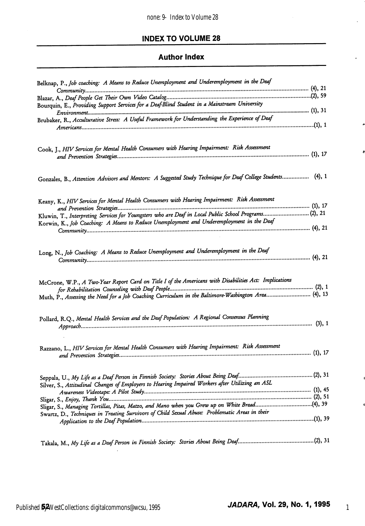#### INDEX TO VOLUME 28

#### Author Index

| Belknap, P., Job coaching: A Means to Reduce Unemployment and Underemployment in the Deaf                  |
|------------------------------------------------------------------------------------------------------------|
|                                                                                                            |
|                                                                                                            |
| Bourquin, E., Providing Support Services for a Deaf-Blind Student in a Mainstream University               |
| Brubaker, R., Acculturative Stress: A Useful Framework for Understanding the Experience of Deaf            |
|                                                                                                            |
| Cook, J., HIV Services for Mental Health Consumers with Hearing Impairment: Risk Assessment                |
| Gonzales, B., Attention Advisors and Mentors: A Suggested Study Technique for Deaf College Students (4), 1 |
| Keany, K., HIV Services for Mental Health Consumers with Hearing Impairment: Risk Assessment               |
| Kluwin, T., Interpreting Services for Youngsters who are Deaf in Local Public School Programs(2), 21       |
| Korwin, K., Job Coaching: A Means to Reduce Unemployment and Underemployment in the Deaf                   |
|                                                                                                            |
| Long, N., Job Coaching: A Means to Reduce Unemployment and Underemployment in the Deaf                     |
| McCrone, W.P., A Two-Year Report Card on Title I of the Americans with Disabilities Act: Implications      |
| Muth, P., Assessing the Need for a Job Coaching Curriculum in the Baltimore-Washington Area (4), 13        |
| Pollard, R.Q., Mental Health Services and the Deaf Population: A Regional Consensus Planning               |
| Razzano, L., HIV Services for Mental Health Consumers with Hearing Impairment: Risk Assessment             |
|                                                                                                            |
| Silver, S., Attitudinal Changes of Employers to Hearing Impaired Workers after Utilizing an ASL            |
|                                                                                                            |
|                                                                                                            |
| Sligar, S., Managing Tortillas, Pitas, Matzo, and Mano when you Grew up on White Bread(4), 39              |
| Swartz, D., Techniques in Treating Survivors of Child Sexual Abuse: Problematic Areas in their             |
|                                                                                                            |
|                                                                                                            |

 $\mathcal{L}$ 

ċ